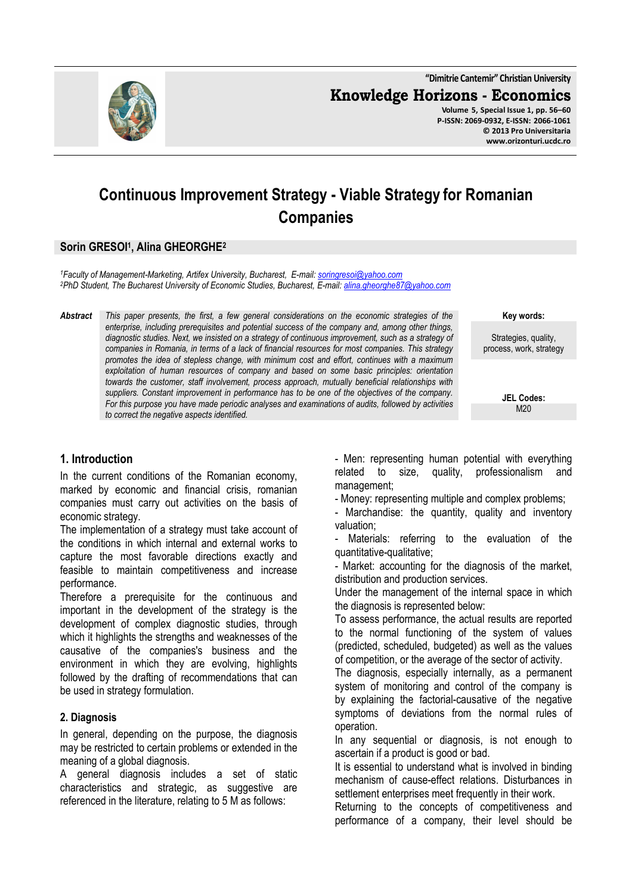**"Dimitrie Cantemir" Christian University Knowledge Horizons - Economics**

**Volume 5, Special Issue 1, pp. 56–60 P-ISSN: 2069-0932, E-ISSN: 2066-1061 © 2013 Pro Universitaria www.orizonturi.ucdc.ro**

# **Continuous Improvement Strategy - Viable Strategy for Romanian Companies**

# **Sorin GRESOI<sup>1</sup> , Alina GHEORGHE<sup>2</sup>**

*<sup>1</sup>Faculty of Management-Marketing, Artifex University, Bucharest, E-mail: soringresoi@yahoo.com <sup>2</sup>PhD Student, The Bucharest University of Economic Studies, Bucharest, E-mail: alina.gheorghe87@yahoo.com* 

*Abstract This paper presents, the first, a few general considerations on the economic strategies of the enterprise, including prerequisites and potential success of the company and, among other things, diagnostic studies. Next, we insisted on a strategy of continuous improvement, such as a strategy of companies in Romania, in terms of a lack of financial resources for most companies. This strategy promotes the idea of stepless change, with minimum cost and effort, continues with a maximum exploitation of human resources of company and based on some basic principles: orientation towards the customer, staff involvement, process approach, mutually beneficial relationships with suppliers. Constant improvement in performance has to be one of the objectives of the company. For this purpose you have made periodic analyses and examinations of audits, followed by activities to correct the negative aspects identified.* 

**Key words:**

Strategies, quality, process, work, strategy

> **JEL Codes:** M20

### **1. Introduction**

In the current conditions of the Romanian economy, marked by economic and financial crisis, romanian companies must carry out activities on the basis of economic strategy.

The implementation of a strategy must take account of the conditions in which internal and external works to capture the most favorable directions exactly and feasible to maintain competitiveness and increase performance.

Therefore a prerequisite for the continuous and important in the development of the strategy is the development of complex diagnostic studies, through which it highlights the strengths and weaknesses of the causative of the companies's business and the environment in which they are evolving, highlights followed by the drafting of recommendations that can be used in strategy formulation.

### **2. Diagnosis**

In general, depending on the purpose, the diagnosis may be restricted to certain problems or extended in the meaning of a global diagnosis.

A general diagnosis includes a set of static characteristics and strategic, as suggestive are referenced in the literature, relating to 5 M as follows:

- Men: representing human potential with everything related to size, quality, professionalism and management;

- Money: representing multiple and complex problems;

- Marchandise: the quantity, quality and inventory valuation;

Materials: referring to the evaluation of the quantitative-qualitative;

- Market: accounting for the diagnosis of the market, distribution and production services.

Under the management of the internal space in which the diagnosis is represented below:

To assess performance, the actual results are reported to the normal functioning of the system of values (predicted, scheduled, budgeted) as well as the values of competition, or the average of the sector of activity.

The diagnosis, especially internally, as a permanent system of monitoring and control of the company is by explaining the factorial-causative of the negative symptoms of deviations from the normal rules of operation.

In any sequential or diagnosis, is not enough to ascertain if a product is good or bad.

It is essential to understand what is involved in binding mechanism of cause-effect relations. Disturbances in settlement enterprises meet frequently in their work.

Returning to the concepts of competitiveness and performance of a company, their level should be

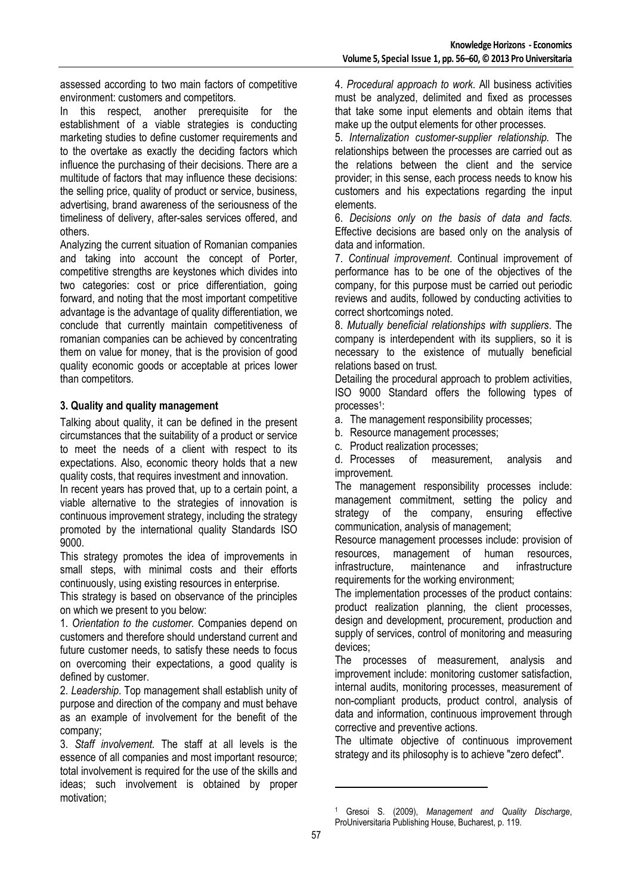assessed according to two main factors of competitive environment: customers and competitors.

In this respect, another prerequisite for the establishment of a viable strategies is conducting marketing studies to define customer requirements and to the overtake as exactly the deciding factors which influence the purchasing of their decisions. There are a multitude of factors that may influence these decisions: the selling price, quality of product or service, business, advertising, brand awareness of the seriousness of the timeliness of delivery, after-sales services offered, and others.

Analyzing the current situation of Romanian companies and taking into account the concept of Porter, competitive strengths are keystones which divides into two categories: cost or price differentiation, going forward, and noting that the most important competitive advantage is the advantage of quality differentiation, we conclude that currently maintain competitiveness of romanian companies can be achieved by concentrating them on value for money, that is the provision of good quality economic goods or acceptable at prices lower than competitors.

# **3. Quality and quality management**

Talking about quality, it can be defined in the present circumstances that the suitability of a product or service to meet the needs of a client with respect to its expectations. Also, economic theory holds that a new quality costs, that requires investment and innovation.

In recent years has proved that, up to a certain point, a viable alternative to the strategies of innovation is continuous improvement strategy, including the strategy promoted by the international quality Standards ISO 9000.

This strategy promotes the idea of improvements in small steps, with minimal costs and their efforts continuously, using existing resources in enterprise.

This strategy is based on observance of the principles on which we present to you below:

1. *Orientation to the customer.* Companies depend on customers and therefore should understand current and future customer needs, to satisfy these needs to focus on overcoming their expectations, a good quality is defined by customer.

2. *Leadership*. Top management shall establish unity of purpose and direction of the company and must behave as an example of involvement for the benefit of the company;

3. *Staff involvement.* The staff at all levels is the essence of all companies and most important resource; total involvement is required for the use of the skills and ideas; such involvement is obtained by proper motivation;

4. *Procedural approach to work*. All business activities must be analyzed, delimited and fixed as processes that take some input elements and obtain items that make up the output elements for other processes.

5. *Internalization customer-supplier relationship.* The relationships between the processes are carried out as the relations between the client and the service provider; in this sense, each process needs to know his customers and his expectations regarding the input elements.

6. *Decisions only on the basis of data and facts*. Effective decisions are based only on the analysis of data and information.

7. *Continual improvement*. Continual improvement of performance has to be one of the objectives of the company, for this purpose must be carried out periodic reviews and audits, followed by conducting activities to correct shortcomings noted.

8. *Mutually beneficial relationships with suppliers*. The company is interdependent with its suppliers, so it is necessary to the existence of mutually beneficial relations based on trust.

Detailing the procedural approach to problem activities, ISO 9000 Standard offers the following types of processes<sup>1</sup>:

a. The management responsibility processes;

b. Resource management processes;

c. Product realization processes;

d. Processes of measurement, analysis and improvement.

The management responsibility processes include: management commitment, setting the policy and strategy of the company, ensuring effective communication, analysis of management;

Resource management processes include: provision of resources, management of human resources, infrastructure, maintenance and infrastructure requirements for the working environment;

The implementation processes of the product contains: product realization planning, the client processes, design and development, procurement, production and supply of services, control of monitoring and measuring devices;

The processes of measurement, analysis and improvement include: monitoring customer satisfaction, internal audits, monitoring processes, measurement of non-compliant products, product control, analysis of data and information, continuous improvement through corrective and preventive actions.

The ultimate objective of continuous improvement strategy and its philosophy is to achieve "zero defect".

l

<sup>1</sup> Gresoi S. (2009), *Management and Quality Discharge*, ProUniversitaria Publishing House, Bucharest, p. 119.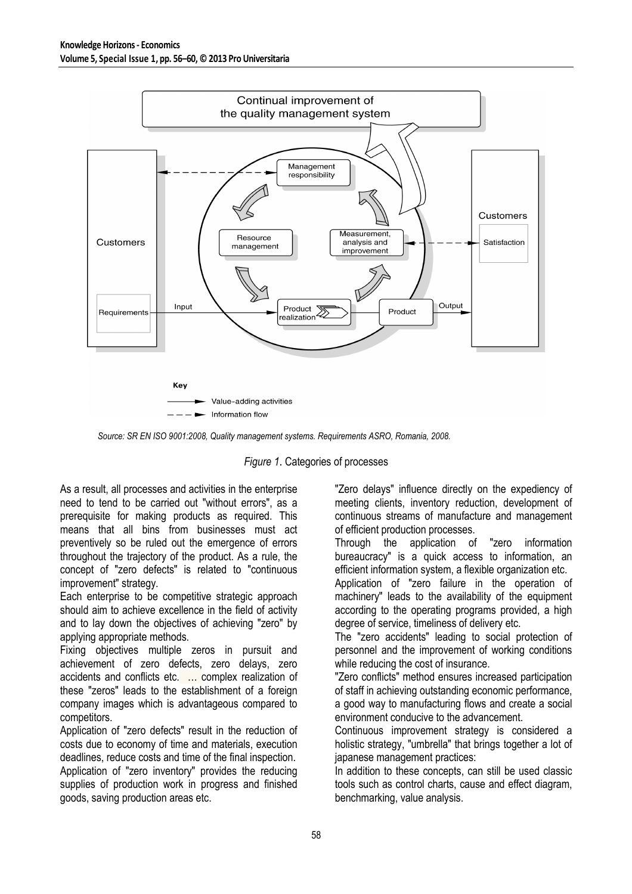

*Source: SR EN ISO 9001:2008, Quality management systems. Requirements ASRO, Romania, 2008.* 



As a result, all processes and activities in the enterprise need to tend to be carried out "without errors", as a prerequisite for making products as required. This means that all bins from businesses must act preventively so be ruled out the emergence of errors throughout the trajectory of the product. As a rule, the concept of "zero defects" is related to "continuous improvement" strategy.

Each enterprise to be competitive strategic approach should aim to achieve excellence in the field of activity and to lay down the objectives of achieving "zero" by applying appropriate methods.

Fixing objectives multiple zeros in pursuit and achievement of zero defects, zero delays, zero accidents and conflicts etc. … complex realization of these "zeros" leads to the establishment of a foreign company images which is advantageous compared to competitors.

Application of "zero defects" result in the reduction of costs due to economy of time and materials, execution deadlines, reduce costs and time of the final inspection. Application of "zero inventory" provides the reducing supplies of production work in progress and finished goods, saving production areas etc.

"Zero delays" influence directly on the expediency of meeting clients, inventory reduction, development of continuous streams of manufacture and management of efficient production processes.

Through the application of "zero information bureaucracy" is a quick access to information, an efficient information system, a flexible organization etc.

Application of "zero failure in the operation of machinery" leads to the availability of the equipment according to the operating programs provided, a high degree of service, timeliness of delivery etc.

The "zero accidents" leading to social protection of personnel and the improvement of working conditions while reducing the cost of insurance.

"Zero conflicts" method ensures increased participation of staff in achieving outstanding economic performance, a good way to manufacturing flows and create a social environment conducive to the advancement.

Continuous improvement strategy is considered a holistic strategy, "umbrella" that brings together a lot of japanese management practices:

In addition to these concepts, can still be used classic tools such as control charts, cause and effect diagram, benchmarking, value analysis.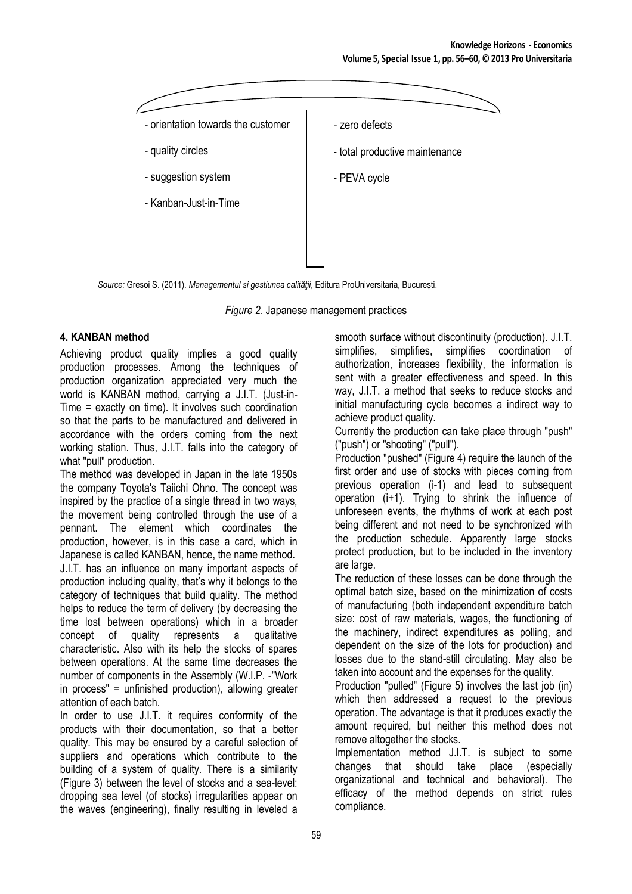

*Source:* Gresoi S. (2011). *Managementul si gestiunea calităţii*, Editura ProUniversitaria, București.

*Figure 2*. Japanese management practices

# **4. KANBAN method**

Achieving product quality implies a good quality production processes. Among the techniques of production organization appreciated very much the world is KANBAN method, carrying a J.I.T. (Just-in-Time = exactly on time). It involves such coordination so that the parts to be manufactured and delivered in accordance with the orders coming from the next working station. Thus, J.I.T. falls into the category of what "pull" production.

The method was developed in Japan in the late 1950s the company Toyota's Taiichi Ohno. The concept was inspired by the practice of a single thread in two ways, the movement being controlled through the use of a pennant. The element which coordinates the production, however, is in this case a card, which in Japanese is called KANBAN, hence, the name method. J.I.T. has an influence on many important aspects of production including quality, that's why it belongs to the category of techniques that build quality. The method helps to reduce the term of delivery (by decreasing the time lost between operations) which in a broader<br>concept of quality represents a qualitative represents a qualitative characteristic. Also with its help the stocks of spares between operations. At the same time decreases the number of components in the Assembly (W.I.P. -"Work in process" = unfinished production), allowing greater attention of each batch.

In order to use J.I.T. it requires conformity of the products with their documentation, so that a better quality. This may be ensured by a careful selection of suppliers and operations which contribute to the building of a system of quality. There is a similarity (Figure 3) between the level of stocks and a sea-level: dropping sea level (of stocks) irregularities appear on the waves (engineering), finally resulting in leveled a smooth surface without discontinuity (production). J.I.T.<br>simplifies, simplifies, simplifies coordination of simplifies, simplifies, simplifies coordination of authorization, increases flexibility, the information is sent with a greater effectiveness and speed. In this way, J.I.T. a method that seeks to reduce stocks and initial manufacturing cycle becomes a indirect way to achieve product quality.

Currently the production can take place through "push" ("push") or "shooting" ("pull").

Production "pushed" (Figure 4) require the launch of the first order and use of stocks with pieces coming from previous operation (i-1) and lead to subsequent operation (i+1). Trying to shrink the influence of unforeseen events, the rhythms of work at each post being different and not need to be synchronized with the production schedule. Apparently large stocks protect production, but to be included in the inventory are large.

The reduction of these losses can be done through the optimal batch size, based on the minimization of costs of manufacturing (both independent expenditure batch size: cost of raw materials, wages, the functioning of the machinery, indirect expenditures as polling, and dependent on the size of the lots for production) and losses due to the stand-still circulating. May also be taken into account and the expenses for the quality.

Production "pulled" (Figure 5) involves the last job (in) which then addressed a request to the previous operation. The advantage is that it produces exactly the amount required, but neither this method does not remove altogether the stocks.

Implementation method J.I.T. is subject to some changes that should take place (especially organizational and technical and behavioral). The efficacy of the method depends on strict rules compliance.